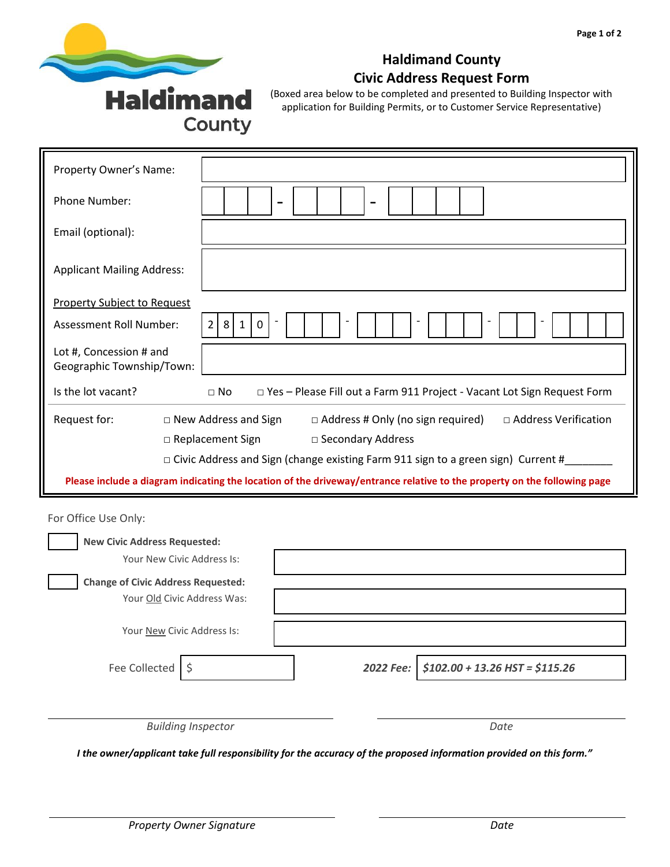

## **Haldimand County Civic Address Request Form**

(Boxed area below to be completed and presented to Building Inspector with application for Building Permits, or to Customer Service Representative)

| Property Owner's Name:                                                                                                   |                                                                                                   |  |
|--------------------------------------------------------------------------------------------------------------------------|---------------------------------------------------------------------------------------------------|--|
| Phone Number:                                                                                                            |                                                                                                   |  |
| Email (optional):                                                                                                        |                                                                                                   |  |
| <b>Applicant Mailing Address:</b>                                                                                        |                                                                                                   |  |
| <b>Property Subject to Request</b>                                                                                       |                                                                                                   |  |
| Assessment Roll Number:                                                                                                  | 8<br>2<br>$\mathbf{1}$<br>0                                                                       |  |
| Lot #, Concession # and                                                                                                  |                                                                                                   |  |
| Geographic Township/Town:                                                                                                |                                                                                                   |  |
| Is the lot vacant?                                                                                                       | □ Yes - Please Fill out a Farm 911 Project - Vacant Lot Sign Request Form<br>$\Box$ No            |  |
| Request for:                                                                                                             | $\Box$ Address # Only (no sign required)<br>□ Address Verification<br>$\Box$ New Address and Sign |  |
|                                                                                                                          | $\Box$ Replacement Sign<br>$\Box$ Secondary Address                                               |  |
| $\Box$ Civic Address and Sign (change existing Farm 911 sign to a green sign) Current #                                  |                                                                                                   |  |
| Please include a diagram indicating the location of the driveway/entrance relative to the property on the following page |                                                                                                   |  |

For Office Use Only:

| <b>New Civic Address Requested:</b>       |                                                   |
|-------------------------------------------|---------------------------------------------------|
| Your New Civic Address Is:                |                                                   |
| <b>Change of Civic Address Requested:</b> |                                                   |
| Your Old Civic Address Was:               |                                                   |
| Your New Civic Address Is:                |                                                   |
| Fee Collected                             | 2022 Fee: $\vert$ \$102.00 + 13.26 HST = \$115.26 |
| <b>Building Inspector</b>                 | Date                                              |

*I the owner/applicant take full responsibility for the accuracy of the proposed information provided on this form."*